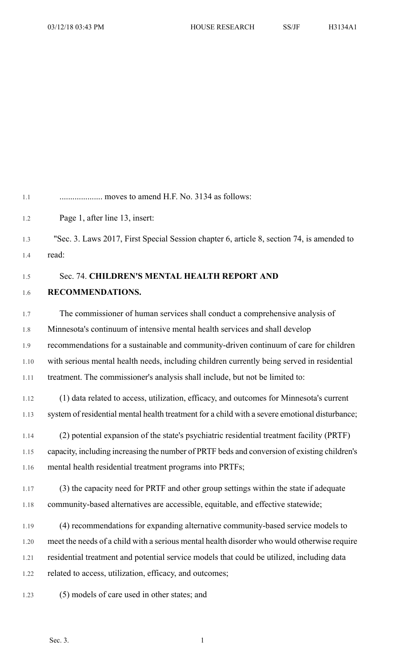1.1 .................... moves to amend H.F. No. 3134 as follows: 1.2 Page 1, after line 13, insert:

1.3 "Sec. 3. Laws 2017, First Special Session chapter 6, article 8, section 74, is amended to 1.4 read:

1.5 Sec. 74. **CHILDREN'S MENTAL HEALTH REPORT AND**

## 1.6 **RECOMMENDATIONS.**

1.7 The commissioner of human services shall conduct a comprehensive analysis of 1.8 Minnesota's continuum of intensive mental health services and shall develop 1.9 recommendations for a sustainable and community-driven continuum of care for children 1.10 with serious mental health needs, including children currently being served in residential 1.11 treatment. The commissioner's analysis shall include, but not be limited to:

1.12 (1) data related to access, utilization, efficacy, and outcomes for Minnesota's current 1.13 system of residential mental health treatment for a child with a severe emotional disturbance;

- 1.14 (2) potential expansion of the state's psychiatric residential treatment facility (PRTF) 1.15 capacity, including increasing the number of PRTF beds and conversion of existing children's 1.16 mental health residential treatment programs into PRTFs;
- 1.17 (3) the capacity need for PRTF and other group settings within the state if adequate 1.18 community-based alternatives are accessible, equitable, and effective statewide;

1.19 (4) recommendations for expanding alternative community-based service models to 1.20 meet the needs of a child with a serious mental health disorder who would otherwise require 1.21 residential treatment and potential service models that could be utilized, including data 1.22 related to access, utilization, efficacy, and outcomes;

1.23 (5) models of care used in other states; and